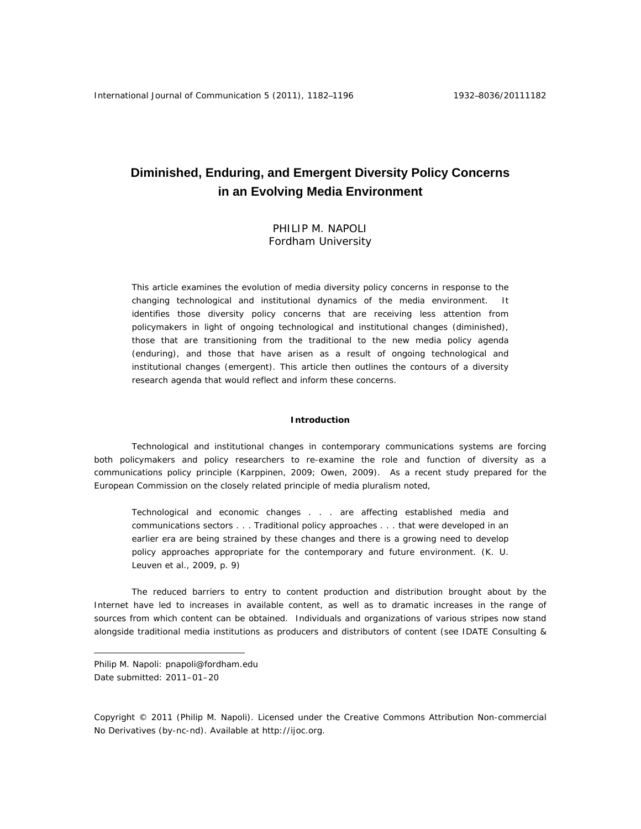# **Diminished, Enduring, and Emergent Diversity Policy Concerns in an Evolving Media Environment**

PHILIP M. NAPOLI Fordham University

This article examines the evolution of media diversity policy concerns in response to the changing technological and institutional dynamics of the media environment. It identifies those diversity policy concerns that are receiving less attention from policymakers in light of ongoing technological and institutional changes (*diminished*), those that are transitioning from the traditional to the new media policy agenda (*enduring*), and those that have arisen as a result of ongoing technological and institutional changes (*emergent*). This article then outlines the contours of a diversity research agenda that would reflect and inform these concerns.

#### **Introduction**

Technological and institutional changes in contemporary communications systems are forcing both policymakers and policy researchers to re-examine the role and function of diversity as a communications policy principle (Karppinen, 2009; Owen, 2009). As a recent study prepared for the European Commission on the closely related principle of media pluralism noted,

Technological and economic changes . . . are affecting established media and communications sectors . . . Traditional policy approaches . . . that were developed in an earlier era are being strained by these changes and there is a growing need to develop policy approaches appropriate for the contemporary and future environment. (K. U. Leuven et al., 2009, p. 9)

The reduced barriers to entry to content production and distribution brought about by the Internet have led to increases in available content, as well as to dramatic increases in the range of sources from which content can be obtained. Individuals and organizations of various stripes now stand alongside traditional media institutions as producers and distributors of content (see IDATE Consulting &

Philip M. Napoli: pnapoli@fordham.edu Date submitted: 2011–01–20

 $\overline{a}$ 

Copyright © 2011 (Philip M. Napoli). Licensed under the Creative Commons Attribution Non-commercial No Derivatives (by-nc-nd). Available at http://ijoc.org.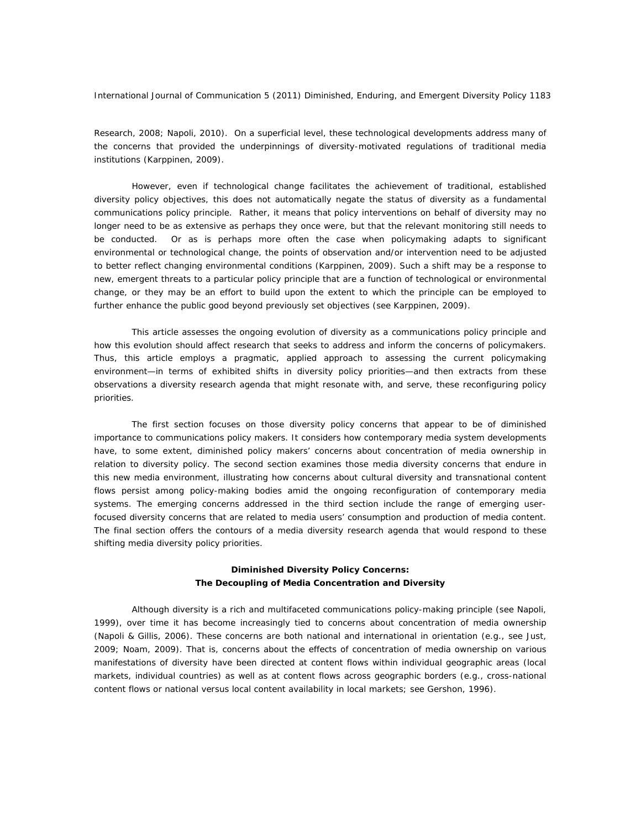Research, 2008; Napoli, 2010). On a superficial level, these technological developments address many of the concerns that provided the underpinnings of diversity-motivated regulations of traditional media institutions (Karppinen, 2009).

 However, even if technological change facilitates the achievement of traditional, established diversity policy objectives, this does not automatically negate the status of diversity as a fundamental communications policy principle. Rather, it means that policy interventions on behalf of diversity may no longer need to be as extensive as perhaps they once were, but that the relevant monitoring still needs to be conducted. Or as is perhaps more often the case when policymaking adapts to significant environmental or technological change, the points of observation and/or intervention need to be adjusted to better reflect changing environmental conditions (Karppinen, 2009). Such a shift may be a response to new, emergent threats to a particular policy principle that are a function of technological or environmental change, or they may be an effort to build upon the extent to which the principle can be employed to further enhance the public good beyond previously set objectives (see Karppinen, 2009).

 This article assesses the ongoing evolution of diversity as a communications policy principle and how this evolution should affect research that seeks to address and inform the concerns of policymakers. Thus, this article employs a pragmatic, applied approach to assessing the current policymaking environment—in terms of exhibited shifts in diversity policy priorities—and then extracts from these observations a diversity research agenda that might resonate with, and serve, these reconfiguring policy priorities.

 The first section focuses on those diversity policy concerns that appear to be of diminished importance to communications policy makers. It considers how contemporary media system developments have, to some extent, diminished policy makers' concerns about concentration of media ownership in relation to diversity policy. The second section examines those media diversity concerns that endure in this new media environment, illustrating how concerns about cultural diversity and transnational content flows persist among policy-making bodies amid the ongoing reconfiguration of contemporary media systems. The emerging concerns addressed in the third section include the range of emerging userfocused diversity concerns that are related to media users' consumption and production of media content. The final section offers the contours of a media diversity research agenda that would respond to these shifting media diversity policy priorities.

# **Diminished Diversity Policy Concerns: The Decoupling of Media Concentration and Diversity**

Although diversity is a rich and multifaceted communications policy-making principle (see Napoli, 1999), over time it has become increasingly tied to concerns about concentration of media ownership (Napoli & Gillis, 2006). These concerns are both national and international in orientation (e.g., see Just, 2009; Noam, 2009). That is, concerns about the effects of concentration of media ownership on various manifestations of diversity have been directed at content flows within individual geographic areas (local markets, individual countries) as well as at content flows across geographic borders (e.g., cross-national content flows or national versus local content availability in local markets; see Gershon, 1996).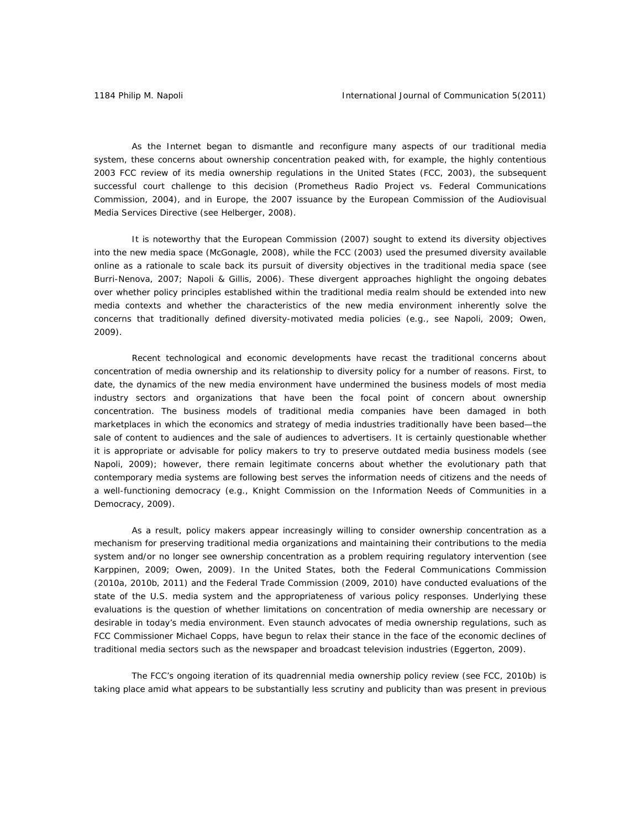As the Internet began to dismantle and reconfigure many aspects of our traditional media system, these concerns about ownership concentration peaked with, for example, the highly contentious 2003 FCC review of its media ownership regulations in the United States (FCC, 2003), the subsequent successful court challenge to this decision (*Prometheus Radio Project vs. Federal Communications Commission,* 2004), and in Europe, the 2007 issuance by the European Commission of the Audiovisual Media Services Directive (see Helberger, 2008).

It is noteworthy that the European Commission (2007) sought to extend its diversity objectives into the new media space (McGonagle, 2008), while the FCC (2003) used the presumed diversity available online as a rationale to scale back its pursuit of diversity objectives in the traditional media space (see Burri-Nenova, 2007; Napoli & Gillis, 2006). These divergent approaches highlight the ongoing debates over whether policy principles established within the traditional media realm should be extended into new media contexts and whether the characteristics of the new media environment inherently solve the concerns that traditionally defined diversity-motivated media policies (e.g., see Napoli, 2009; Owen, 2009).

Recent technological and economic developments have recast the traditional concerns about concentration of media ownership and its relationship to diversity policy for a number of reasons. First, to date, the dynamics of the new media environment have undermined the business models of most media industry sectors and organizations that have been the focal point of concern about ownership concentration. The business models of traditional media companies have been damaged in both marketplaces in which the economics and strategy of media industries traditionally have been based—the sale of content to audiences and the sale of audiences to advertisers. It is certainly questionable whether it is appropriate or advisable for policy makers to try to preserve outdated media business models (see Napoli, 2009); however, there remain legitimate concerns about whether the evolutionary path that contemporary media systems are following best serves the information needs of citizens and the needs of a well-functioning democracy (e.g., Knight Commission on the Information Needs of Communities in a Democracy, 2009).

As a result, policy makers appear increasingly willing to consider ownership concentration as a mechanism for preserving traditional media organizations and maintaining their contributions to the media system and/or no longer see ownership concentration as a problem requiring regulatory intervention (see Karppinen, 2009; Owen, 2009). In the United States, both the Federal Communications Commission (2010a, 2010b, 2011) and the Federal Trade Commission (2009, 2010) have conducted evaluations of the state of the U.S. media system and the appropriateness of various policy responses. Underlying these evaluations is the question of whether limitations on concentration of media ownership are necessary or desirable in today's media environment. Even staunch advocates of media ownership regulations, such as FCC Commissioner Michael Copps, have begun to relax their stance in the face of the economic declines of traditional media sectors such as the newspaper and broadcast television industries (Eggerton, 2009).

The FCC's ongoing iteration of its quadrennial media ownership policy review (see FCC, 2010b) is taking place amid what appears to be substantially less scrutiny and publicity than was present in previous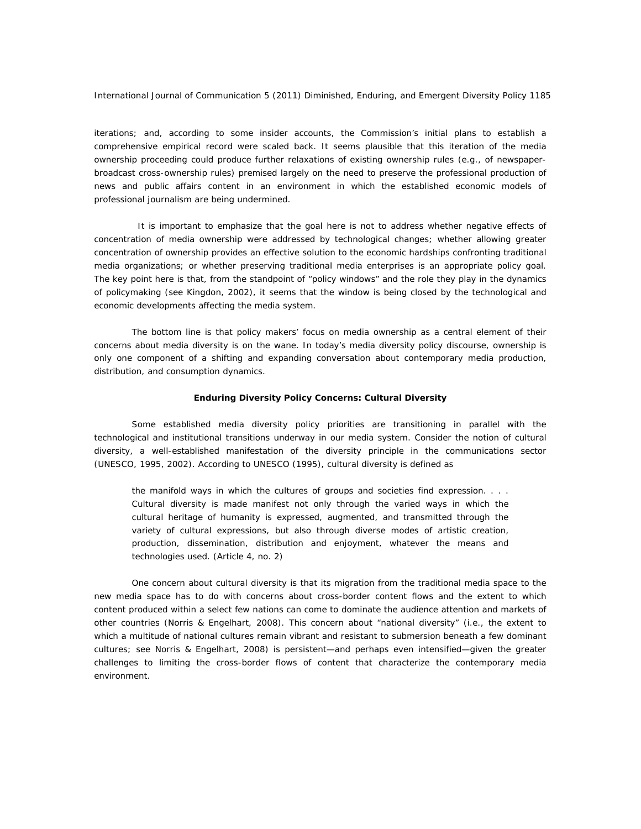iterations; and, according to some insider accounts, the Commission's initial plans to establish a comprehensive empirical record were scaled back. It seems plausible that this iteration of the media ownership proceeding could produce further relaxations of existing ownership rules (e.g., of newspaperbroadcast cross-ownership rules) premised largely on the need to preserve the professional production of news and public affairs content in an environment in which the established economic models of professional journalism are being undermined.

 It is important to emphasize that the goal here is not to address whether negative effects of concentration of media ownership were addressed by technological changes; whether allowing greater concentration of ownership provides an effective solution to the economic hardships confronting traditional media organizations; or whether preserving traditional media enterprises is an appropriate policy goal. The key point here is that, from the standpoint of "policy windows" and the role they play in the dynamics of policymaking (see Kingdon, 2002), it seems that the window is being closed by the technological and economic developments affecting the media system.

The bottom line is that policy makers' focus on media ownership as a central element of their concerns about media diversity is on the wane. In today's media diversity policy discourse, ownership is only one component of a shifting and expanding conversation about contemporary media production, distribution, and consumption dynamics.

## **Enduring Diversity Policy Concerns: Cultural Diversity**

Some established media diversity policy priorities are transitioning in parallel with the technological and institutional transitions underway in our media system. Consider the notion of cultural diversity, a well-established manifestation of the diversity principle in the communications sector (UNESCO, 1995, 2002). According to UNESCO (1995), cultural diversity is defined as

the manifold ways in which the cultures of groups and societies find expression. . . . Cultural diversity is made manifest not only through the varied ways in which the cultural heritage of humanity is expressed, augmented, and transmitted through the variety of cultural expressions, but also through diverse modes of artistic creation, production, dissemination, distribution and enjoyment, whatever the means and technologies used. (Article 4, no. 2)

One concern about cultural diversity is that its migration from the traditional media space to the new media space has to do with concerns about cross-border content flows and the extent to which content produced within a select few nations can come to dominate the audience attention and markets of other countries (Norris & Engelhart, 2008). This concern about "national diversity" (i.e., the extent to which a multitude of national cultures remain vibrant and resistant to submersion beneath a few dominant cultures; see Norris & Engelhart, 2008) is persistent—and perhaps even intensified—given the greater challenges to limiting the cross-border flows of content that characterize the contemporary media environment.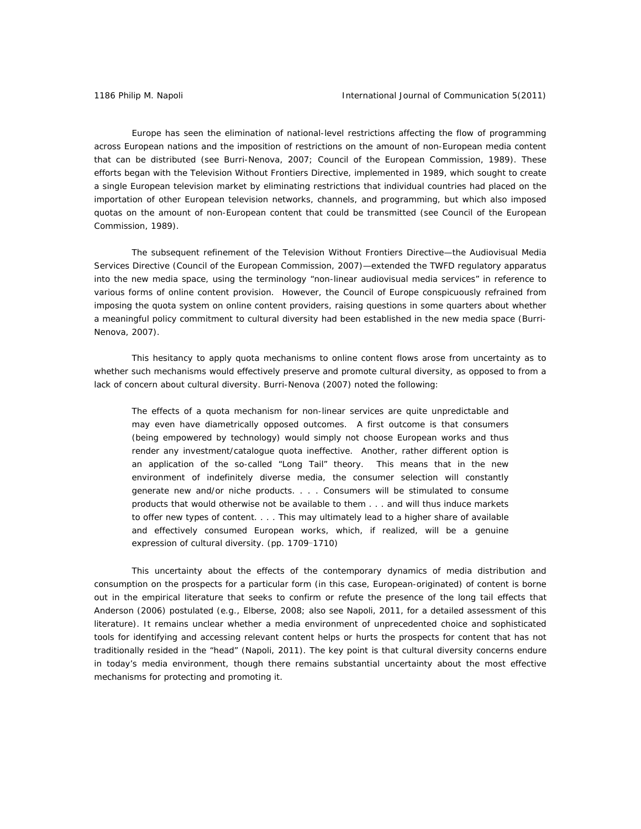Europe has seen the elimination of national-level restrictions affecting the flow of programming across European nations and the imposition of restrictions on the amount of non-European media content that can be distributed (see Burri-Nenova, 2007; Council of the European Commission, 1989). These efforts began with the *Television Without Frontiers Directive*, implemented in 1989, which sought to create a single European television market by eliminating restrictions that individual countries had placed on the importation of other European television networks, channels, and programming, but which also imposed quotas on the amount of non-European content that could be transmitted (see Council of the European Commission, 1989).

The subsequent refinement of the Television Without Frontiers Directive—the Audiovisual Media Services Directive (Council of the European Commission, 2007)—extended the TWFD regulatory apparatus into the new media space, using the terminology "non-linear audiovisual media services" in reference to various forms of online content provision. However, the Council of Europe conspicuously refrained from imposing the quota system on online content providers, raising questions in some quarters about whether a meaningful policy commitment to cultural diversity had been established in the new media space (Burri-Nenova, 2007).

This hesitancy to apply quota mechanisms to online content flows arose from uncertainty as to whether such mechanisms would effectively preserve and promote cultural diversity, as opposed to from a lack of concern about cultural diversity. Burri-Nenova (2007) noted the following:

The effects of a quota mechanism for non-linear services are quite unpredictable and may even have diametrically opposed outcomes. A first outcome is that consumers (being empowered by technology) would simply not choose European works and thus render any investment/catalogue quota ineffective. Another, rather different option is an application of the so-called "Long Tail" theory. This means that in the new environment of indefinitely diverse media, the consumer selection will constantly generate new and/or niche products. . . . Consumers will be stimulated to consume products that would otherwise not be available to them . . . and will thus induce markets to offer new types of content. . . . This may ultimately lead to a higher share of available and effectively consumed European works, which, if realized, will be a genuine expression of cultural diversity. (pp. 1709-1710)

This uncertainty about the effects of the contemporary dynamics of media distribution and consumption on the prospects for a particular form (in this case, European-originated) of content is borne out in the empirical literature that seeks to confirm or refute the presence of the long tail effects that Anderson (2006) postulated (e.g., Elberse, 2008; also see Napoli, 2011, for a detailed assessment of this literature). It remains unclear whether a media environment of unprecedented choice and sophisticated tools for identifying and accessing relevant content helps or hurts the prospects for content that has not traditionally resided in the "head" (Napoli, 2011). The key point is that cultural diversity concerns endure in today's media environment, though there remains substantial uncertainty about the most effective mechanisms for protecting and promoting it.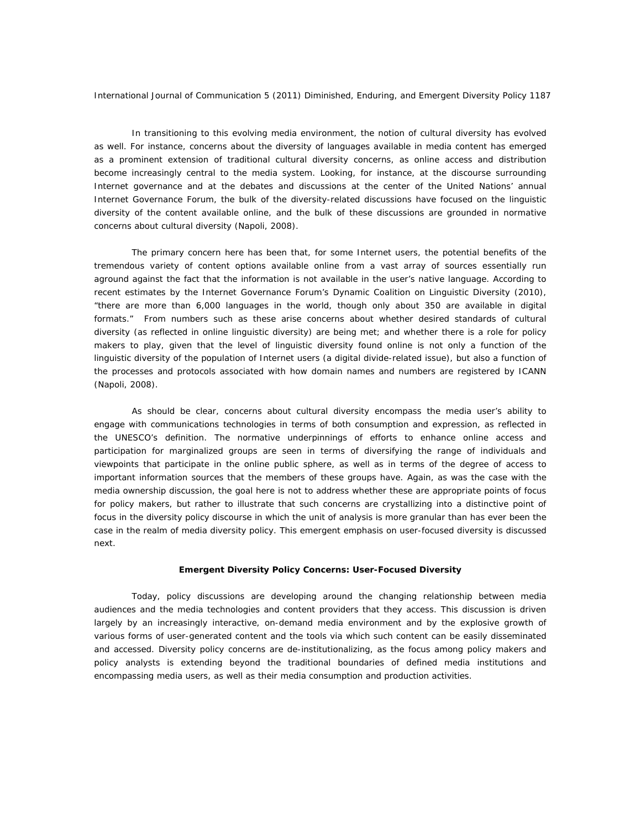In transitioning to this evolving media environment, the notion of cultural diversity has evolved as well. For instance, concerns about the diversity of languages available in media content has emerged as a prominent extension of traditional cultural diversity concerns, as online access and distribution become increasingly central to the media system. Looking, for instance, at the discourse surrounding Internet governance and at the debates and discussions at the center of the United Nations' annual Internet Governance Forum, the bulk of the diversity-related discussions have focused on the linguistic diversity of the content available online, and the bulk of these discussions are grounded in normative concerns about cultural diversity (Napoli, 2008).

The primary concern here has been that, for some Internet users, the potential benefits of the tremendous variety of content options available online from a vast array of sources essentially run aground against the fact that the information is not available in the user's native language. According to recent estimates by the Internet Governance Forum's Dynamic Coalition on Linguistic Diversity (2010), "there are more than 6,000 languages in the world, though only about 350 are available in digital formats." From numbers such as these arise concerns about whether desired standards of cultural diversity (as reflected in online linguistic diversity) are being met; and whether there is a role for policy makers to play, given that the level of linguistic diversity found online is not only a function of the linguistic diversity of the population of Internet users (a digital divide-related issue), but also a function of the processes and protocols associated with how domain names and numbers are registered by ICANN (Napoli, 2008).

As should be clear, concerns about cultural diversity encompass the media user's ability to engage with communications technologies in terms of both consumption and expression, as reflected in the UNESCO's definition. The normative underpinnings of efforts to enhance online access and participation for marginalized groups are seen in terms of diversifying the range of individuals and viewpoints that participate in the online public sphere, as well as in terms of the degree of access to important information sources that the members of these groups have. Again, as was the case with the media ownership discussion, the goal here is not to address whether these are appropriate points of focus for policy makers, but rather to illustrate that such concerns are crystallizing into a distinctive point of focus in the diversity policy discourse in which the unit of analysis is more granular than has ever been the case in the realm of media diversity policy. This emergent emphasis on user-focused diversity is discussed next.

#### **Emergent Diversity Policy Concerns: User-Focused Diversity**

Today, policy discussions are developing around the changing relationship between media audiences and the media technologies and content providers that they access. This discussion is driven largely by an increasingly interactive, on-demand media environment and by the explosive growth of various forms of user-generated content and the tools via which such content can be easily disseminated and accessed. Diversity policy concerns are de-institutionalizing*,* as the focus among policy makers and policy analysts is extending beyond the traditional boundaries of defined media institutions and encompassing media users, as well as their media consumption and production activities.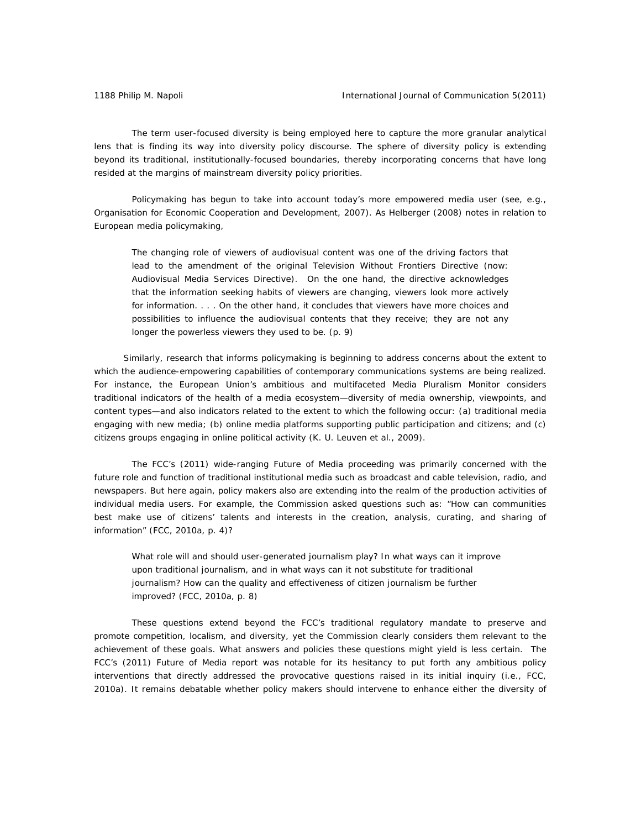The term *user-focused diversity* is being employed here to capture the more granular analytical lens that is finding its way into diversity policy discourse. The sphere of diversity policy is extending beyond its traditional, institutionally-focused boundaries, thereby incorporating concerns that have long resided at the margins of mainstream diversity policy priorities.

Policymaking has begun to take into account today's more empowered media user (see, e.g., Organisation for Economic Cooperation and Development, 2007). As Helberger (2008) notes in relation to European media policymaking,

The changing role of viewers of audiovisual content was one of the driving factors that lead to the amendment of the original Television Without Frontiers Directive (now: Audiovisual Media Services Directive). On the one hand, the directive acknowledges that the information seeking habits of viewers are changing, viewers look more actively for information. . . . On the other hand, it concludes that viewers have more choices and possibilities to influence the audiovisual contents that they receive; they are not any longer the powerless viewers they used to be. (p. 9)

 Similarly, research that informs policymaking is beginning to address concerns about the extent to which the audience-empowering capabilities of contemporary communications systems are being realized. For instance, the European Union's ambitious and multifaceted Media Pluralism Monitor considers traditional indicators of the health of a media ecosystem—diversity of media ownership, viewpoints, and content types—and also indicators related to the extent to which the following occur: (a) traditional media engaging with new media; (b) online media platforms supporting public participation and citizens; and (c) citizens groups engaging in online political activity (K. U. Leuven et al., 2009).

The FCC's (2011) wide-ranging Future of Media proceeding was primarily concerned with the future role and function of traditional institutional media such as broadcast and cable television, radio, and newspapers. But here again, policy makers also are extending into the realm of the production activities of individual media users. For example, the Commission asked questions such as: "How can communities best make use of citizens' talents and interests in the creation, analysis, curating, and sharing of information" (FCC, 2010a, p. 4)?

What role will and should user-generated journalism play? In what ways can it improve upon traditional journalism, and in what ways can it not substitute for traditional journalism? How can the quality and effectiveness of citizen journalism be further improved? (FCC, 2010a, p. 8)

 These questions extend beyond the FCC's traditional regulatory mandate to preserve and promote competition, localism, and diversity, yet the Commission clearly considers them relevant to the achievement of these goals. What answers and policies these questions might yield is less certain. The FCC's (2011) Future of Media report was notable for its hesitancy to put forth any ambitious policy interventions that directly addressed the provocative questions raised in its initial inquiry (i.e., FCC, 2010a). It remains debatable whether policy makers should intervene to enhance either the diversity of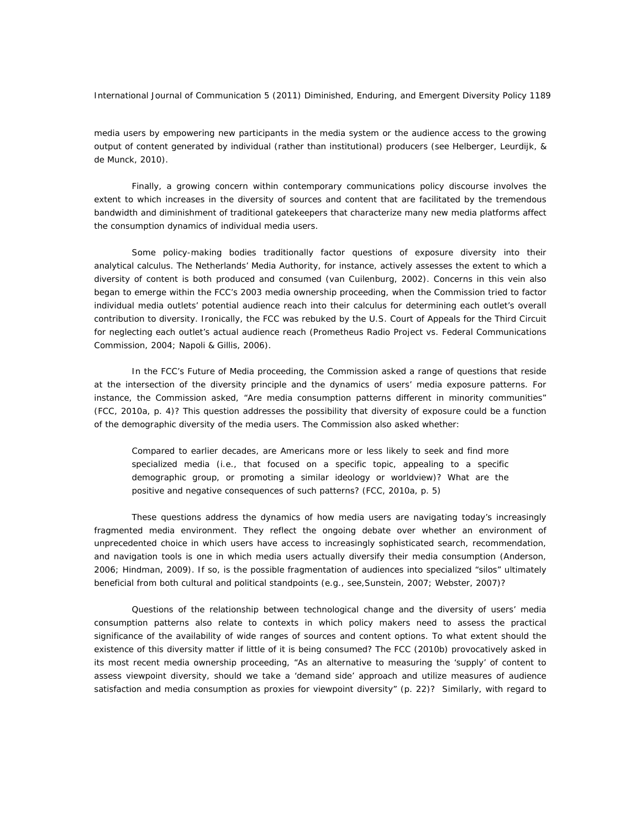media users by empowering new participants in the media system or the audience access to the growing output of content generated by individual (rather than institutional) producers (see Helberger, Leurdijk, & de Munck, 2010).

Finally, a growing concern within contemporary communications policy discourse involves the extent to which increases in the diversity of sources and content that are facilitated by the tremendous bandwidth and diminishment of traditional gatekeepers that characterize many new media platforms affect the consumption dynamics of individual media users.

Some policy-making bodies traditionally factor questions of exposure diversity into their analytical calculus. The Netherlands' Media Authority, for instance, actively assesses the extent to which a diversity of content is both produced and consumed (van Cuilenburg, 2002). Concerns in this vein also began to emerge within the FCC's 2003 media ownership proceeding, when the Commission tried to factor individual media outlets' potential audience reach into their calculus for determining each outlet's overall contribution to diversity. Ironically, the FCC was rebuked by the U.S. Court of Appeals for the Third Circuit for neglecting each outlet's actual audience reach (*Prometheus Radio Project vs. Federal Communications Commission,* 2004; Napoli & Gillis, 2006).

In the FCC's Future of Media proceeding, the Commission asked a range of questions that reside at the intersection of the diversity principle and the dynamics of users' media exposure patterns. For instance, the Commission asked, "Are media consumption patterns different in minority communities" (FCC, 2010a, p. 4)? This question addresses the possibility that diversity of exposure could be a function of the demographic diversity of the media users. The Commission also asked whether:

Compared to earlier decades, are Americans more or less likely to seek and find more specialized media (*i.e.*, that focused on a specific topic, appealing to a specific demographic group, or promoting a similar ideology or worldview)? What are the positive and negative consequences of such patterns? (FCC, 2010a, p. 5)

These questions address the dynamics of how media users are navigating today's increasingly fragmented media environment. They reflect the ongoing debate over whether an environment of unprecedented choice in which users have access to increasingly sophisticated search, recommendation, and navigation tools is one in which media users actually diversify their media consumption (Anderson, 2006; Hindman, 2009). If so, is the possible fragmentation of audiences into specialized "silos" ultimately beneficial from both cultural and political standpoints (e.g., see,Sunstein, 2007; Webster, 2007)?

Questions of the relationship between technological change and the diversity of users' media consumption patterns also relate to contexts in which policy makers need to assess the practical significance of the availability of wide ranges of sources and content options. To what extent should the existence of this diversity matter if little of it is being consumed? The FCC (2010b) provocatively asked in its most recent media ownership proceeding, "As an alternative to measuring the 'supply' of content to assess viewpoint diversity, should we take a 'demand side' approach and utilize measures of audience satisfaction and media consumption as proxies for viewpoint diversity" (p. 22)? Similarly, with regard to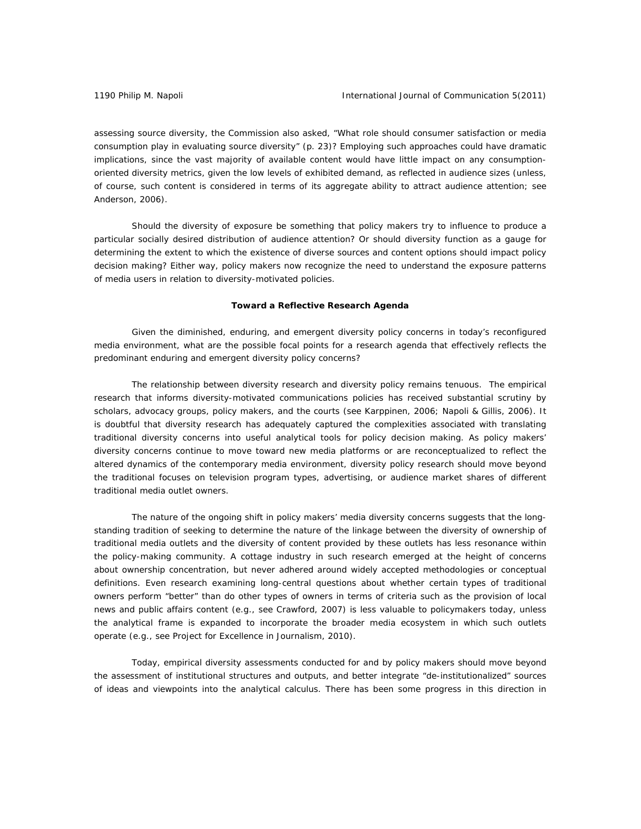assessing source diversity, the Commission also asked, "What role should consumer satisfaction or media consumption play in evaluating source diversity" (p. 23)? Employing such approaches could have dramatic implications, since the vast majority of available content would have little impact on any consumptionoriented diversity metrics, given the low levels of exhibited demand, as reflected in audience sizes (unless, of course, such content is considered in terms of its aggregate ability to attract audience attention; see Anderson, 2006).

Should the diversity of exposure be something that policy makers try to influence to produce a particular socially desired distribution of audience attention? Or should diversity function as a gauge for determining the extent to which the existence of diverse sources and content options should impact policy decision making? Either way, policy makers now recognize the need to understand the exposure patterns of media users in relation to diversity-motivated policies.

# **Toward a Reflective Research Agenda**

Given the diminished, enduring, and emergent diversity policy concerns in today's reconfigured media environment, what are the possible focal points for a research agenda that effectively reflects the predominant enduring and emergent diversity policy concerns?

The relationship between diversity research and diversity policy remains tenuous. The empirical research that informs diversity-motivated communications policies has received substantial scrutiny by scholars, advocacy groups, policy makers, and the courts (see Karppinen, 2006; Napoli & Gillis, 2006). It is doubtful that diversity research has adequately captured the complexities associated with translating traditional diversity concerns into useful analytical tools for policy decision making. As policy makers' diversity concerns continue to move toward new media platforms or are reconceptualized to reflect the altered dynamics of the contemporary media environment, diversity policy research should move beyond the traditional focuses on television program types, advertising, or audience market shares of different traditional media outlet owners.

The nature of the ongoing shift in policy makers' media diversity concerns suggests that the longstanding tradition of seeking to determine the nature of the linkage between the diversity of ownership of traditional media outlets and the diversity of content provided by these outlets has less resonance within the policy-making community. A cottage industry in such research emerged at the height of concerns about ownership concentration, but never adhered around widely accepted methodologies or conceptual definitions. Even research examining long-central questions about whether certain types of traditional owners perform "better" than do other types of owners in terms of criteria such as the provision of local news and public affairs content (e.g., see Crawford, 2007) is less valuable to policymakers today, unless the analytical frame is expanded to incorporate the broader media ecosystem in which such outlets operate (e.g., see Project for Excellence in Journalism, 2010).

 Today, empirical diversity assessments conducted for and by policy makers should move beyond the assessment of institutional structures and outputs, and better integrate "de-institutionalized" sources of ideas and viewpoints into the analytical calculus. There has been some progress in this direction in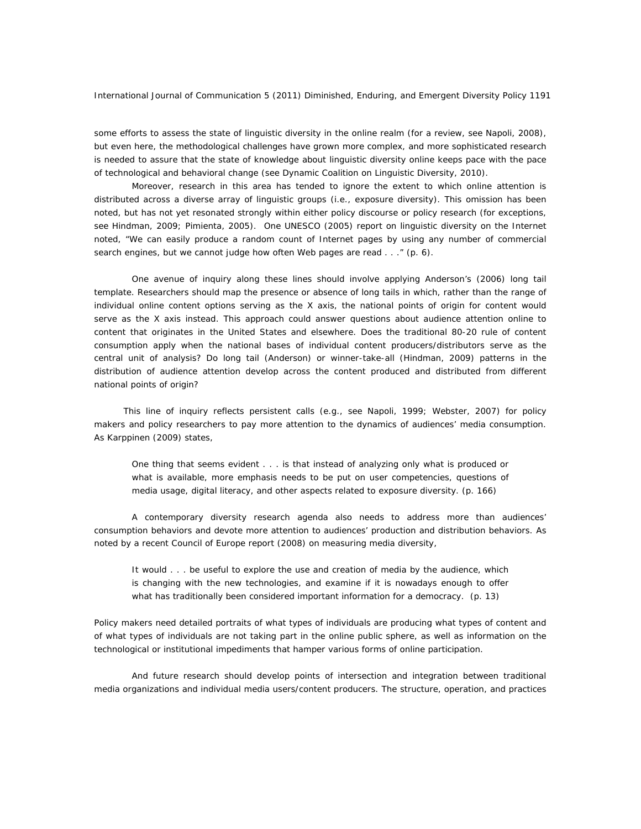some efforts to assess the state of linguistic diversity in the online realm (for a review, see Napoli, 2008), but even here, the methodological challenges have grown more complex, and more sophisticated research is needed to assure that the state of knowledge about linguistic diversity online keeps pace with the pace of technological and behavioral change (see Dynamic Coalition on Linguistic Diversity, 2010).

Moreover, research in this area has tended to ignore the extent to which online attention is distributed across a diverse array of linguistic groups (i.e., exposure diversity). This omission has been noted, but has not yet resonated strongly within either policy discourse or policy research (for exceptions, see Hindman, 2009; Pimienta, 2005). One UNESCO (2005) report on linguistic diversity on the Internet noted, "We can easily produce a random count of Internet pages by using any number of commercial search engines, but we cannot judge how often Web pages are read . . ." (p. 6).

One avenue of inquiry along these lines should involve applying Anderson's (2006) long tail template. Researchers should map the presence or absence of long tails in which, rather than the range of individual online content options serving as the X axis, the national points of origin for content would serve as the X axis instead. This approach could answer questions about audience attention online to content that originates in the United States and elsewhere. Does the traditional 80-20 rule of content consumption apply when the national bases of individual content producers/distributors serve as the central unit of analysis? Do long tail (Anderson) or winner-take-all (Hindman, 2009) patterns in the distribution of audience attention develop across the content produced and distributed from different national points of origin?

 This line of inquiry reflects persistent calls (e.g., see Napoli, 1999; Webster, 2007) for policy makers and policy researchers to pay more attention to the dynamics of audiences' media consumption. As Karppinen (2009) states,

One thing that seems evident . . . is that instead of analyzing only what is produced or what is available, more emphasis needs to be put on user competencies, questions of media usage, digital literacy, and other aspects related to exposure diversity. (p. 166)

A contemporary diversity research agenda also needs to address more than audiences' consumption behaviors and devote more attention to audiences' production and distribution behaviors. As noted by a recent Council of Europe report (2008) on measuring media diversity,

It would . . . be useful to explore the use and creation of media by the audience, which is changing with the new technologies, and examine if it is nowadays enough to offer what has traditionally been considered important information for a democracy. (p. 13)

Policy makers need detailed portraits of what types of individuals are producing what types of content and of what types of individuals are not taking part in the online public sphere, as well as information on the technological or institutional impediments that hamper various forms of online participation.

And future research should develop points of intersection and integration between traditional media organizations and individual media users/content producers. The structure, operation, and practices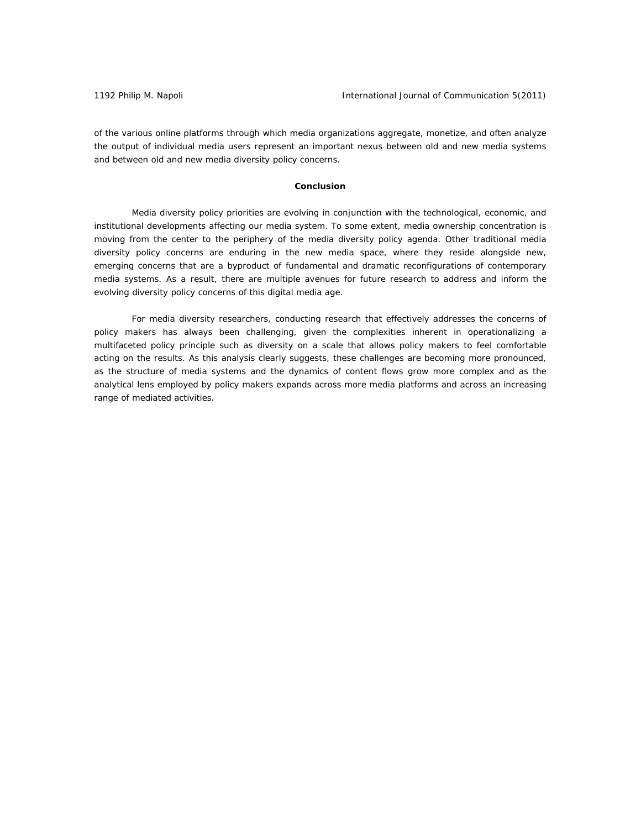of the various online platforms through which media organizations aggregate, monetize, and often analyze the output of individual media users represent an important nexus between old and new media systems and between old and new media diversity policy concerns.

# **Conclusion**

 Media diversity policy priorities are evolving in conjunction with the technological, economic, and institutional developments affecting our media system. To some extent, media ownership concentration is moving from the center to the periphery of the media diversity policy agenda. Other traditional media diversity policy concerns are enduring in the new media space, where they reside alongside new, emerging concerns that are a byproduct of fundamental and dramatic reconfigurations of contemporary media systems. As a result, there are multiple avenues for future research to address and inform the evolving diversity policy concerns of this digital media age.

 For media diversity researchers, conducting research that effectively addresses the concerns of policy makers has always been challenging, given the complexities inherent in operationalizing a multifaceted policy principle such as diversity on a scale that allows policy makers to feel comfortable acting on the results. As this analysis clearly suggests, these challenges are becoming more pronounced, as the structure of media systems and the dynamics of content flows grow more complex and as the analytical lens employed by policy makers expands across more media platforms and across an increasing range of mediated activities.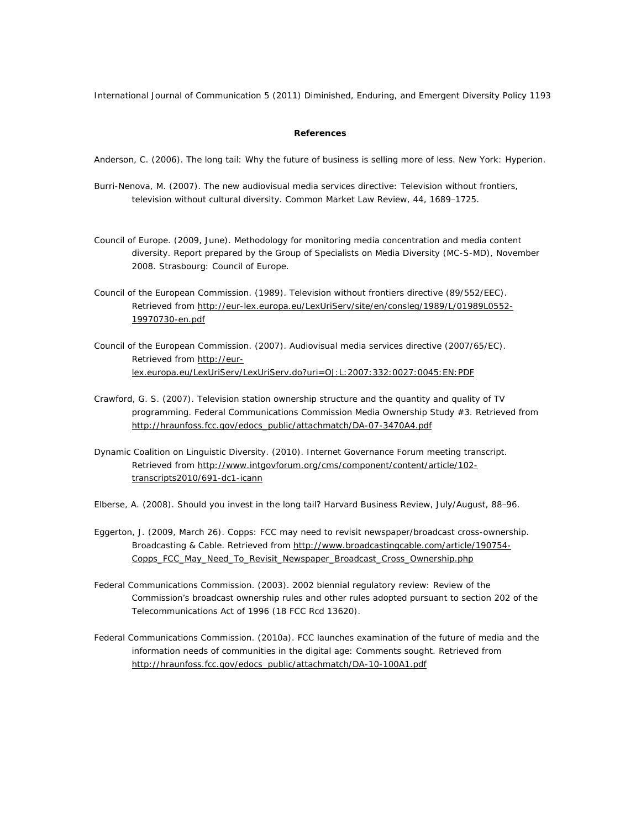# **References**

Anderson, C. (2006). *The long tail: Why the future of business is selling more of less.* New York: Hyperion.

- Burri-Nenova, M. (2007). The new audiovisual media services directive: Television without frontiers, television without cultural diversity. *Common Market Law Review*, *44*, 1689‒1725.
- Council of Europe. (2009, June). *Methodology for monitoring media concentration and media content diversity*. Report prepared by the Group of Specialists on Media Diversity (MC-S-MD), November 2008. Strasbourg: Council of Europe.
- Council of the European Commission. (1989). *Television without frontiers directive* (89/552/EEC). Retrieved from http://eur-lex.europa.eu/LexUriServ/site/en/consleg/1989/L/01989L0552- 19970730-en.pdf
- Council of the European Commission. (2007). *Audiovisual media services direct*ive (2007/65/EC). Retrieved from http://eurlex.europa.eu/LexUriServ/LexUriServ.do?uri=OJ:L:2007:332:0027:0045:EN:PDF
- Crawford, G. S. (2007*). Television station ownership structure and the quantity and quality of TV programming*. Federal Communications Commission Media Ownership Study #3. Retrieved from http://hraunfoss.fcc.gov/edocs\_public/attachmatch/DA-07-3470A4.pdf
- Dynamic Coalition on Linguistic Diversity. (2010). *Internet Governance Forum meeting transcript*. Retrieved from http://www.intgovforum.org/cms/component/content/article/102 transcripts2010/691-dc1-icann

Elberse, A. (2008). Should you invest in the long tail? *Harvard Business Review*, July/August, 88-96.

- Eggerton, J. (2009, March 26). Copps: FCC may need to revisit newspaper/broadcast cross-ownership. *Broadcasting & Cable.* Retrieved from http://www.broadcastingcable.com/article/190754- Copps\_FCC\_May\_Need\_To\_Revisit\_Newspaper\_Broadcast\_Cross\_Ownership.php
- Federal Communications Commission. (2003*). 2002 biennial regulatory review: Review of the Commission's broadcast ownership rules and other rules adopted pursuant to section 202 of the Telecommunications Act of 1996* (18 FCC Rcd 13620).
- Federal Communications Commission. (2010a). *FCC launches examination of the future of media and the information needs of communities in the digital age: Comments sought*. Retrieved from http://hraunfoss.fcc.gov/edocs\_public/attachmatch/DA-10-100A1.pdf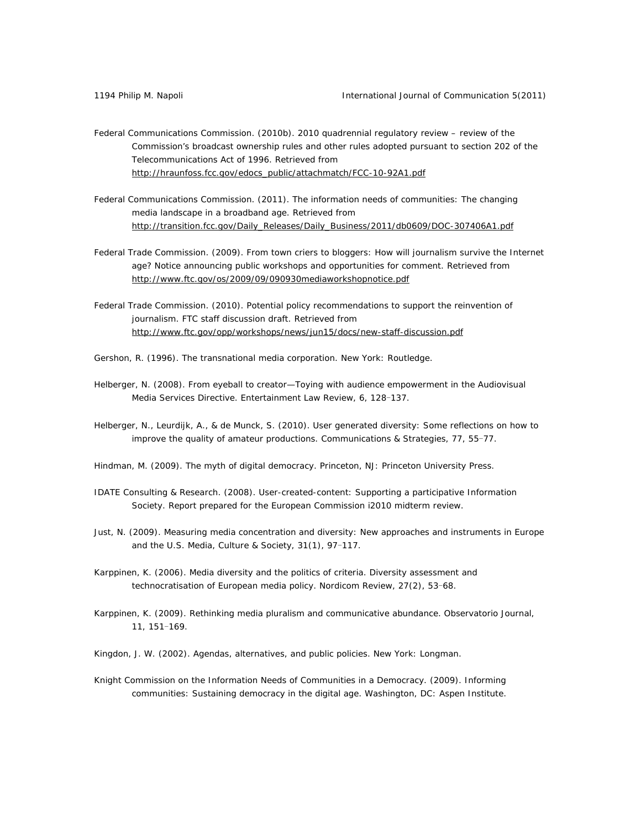- Federal Communications Commission. (2010b). *2010 quadrennial regulatory review review of the Commission's broadcast ownership rules and other rules adopted pursuant to section 202 of the Telecommunications Act of 1996*. Retrieved from http://hraunfoss.fcc.gov/edocs\_public/attachmatch/FCC-10-92A1.pdf
- Federal Communications Commission. (2011). *The information needs of communities: The changing media landscape in a broadband age*. Retrieved from http://transition.fcc.gov/Daily\_Releases/Daily\_Business/2011/db0609/DOC-307406A1.pdf
- Federal Trade Commission. (2009). *From town criers to bloggers: How will journalism survive the Internet age*? Notice announcing public workshops and opportunities for comment. Retrieved from http://www.ftc.gov/os/2009/09/090930mediaworkshopnotice.pdf
- Federal Trade Commission. (2010). *Potential policy recommendations to support the reinvention of journalism*. FTC staff discussion draft. Retrieved from http://www.ftc.gov/opp/workshops/news/jun15/docs/new-staff-discussion.pdf
- Gershon, R. (1996). *The transnational media corporation.* New York: Routledge.
- Helberger, N. (2008). From eyeball to creator—Toying with audience empowerment in the Audiovisual Media Services Directive. *Entertainment Law Review*, 6, 128-137.
- Helberger, N., Leurdijk, A., & de Munck, S. (2010). User generated diversity: Some reflections on how to improve the quality of amateur productions. *Communications & Strategies*, 77, 55-77.
- Hindman, M. (2009). *The myth of digital democracy.* Princeton, NJ: Princeton University Press.
- IDATE Consulting & Research. (2008). *User-created-content: Supporting a participative Information Society*. Report prepared for the European Commission i2010 midterm review.
- Just, N. (2009). Measuring media concentration and diversity: New approaches and instruments in Europe and the U.S. Media, Culture & Society, 31(1), 97-117.
- Karppinen, K. (2006). Media diversity and the politics of criteria. Diversity assessment and technocratisation of European media policy. *Nordicom Review*, *27*(2), 53‒68.
- Karppinen, K. (2009). Rethinking media pluralism and communicative abundance. *Observatorio Journal*, *11*, 151‒169.
- Kingdon, J. W. (2002). *Agendas, alternatives, and public policies.* New York: Longman.
- Knight Commission on the Information Needs of Communities in a Democracy. (2009). *Informing communities: Sustaining democracy in the digital age.* Washington, DC: Aspen Institute.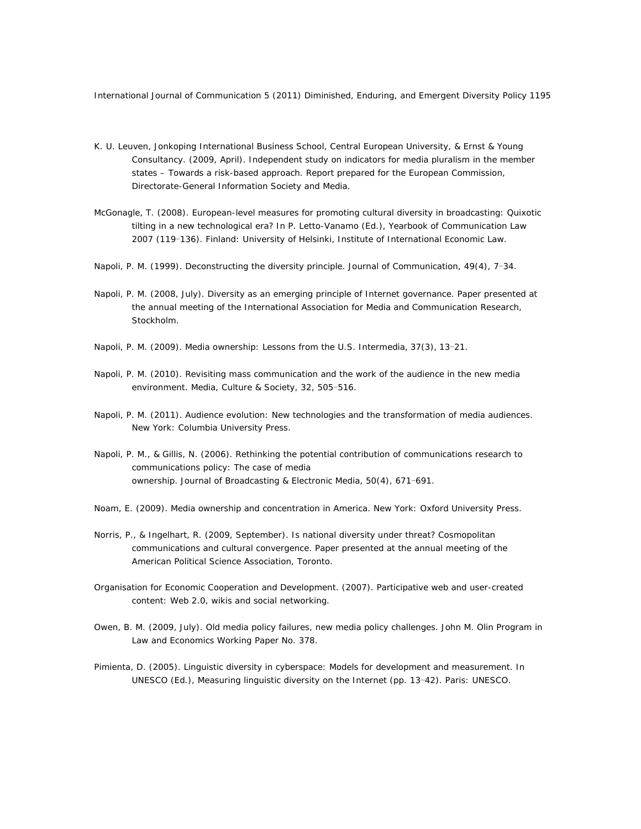- K. U. Leuven, Jonkoping International Business School, Central European University, & Ernst & Young Consultancy. (2009, April*). Independent study on indicators for media pluralism in the member states – Towards a risk-based approach*. Report prepared for the European Commission, Directorate-General Information Society and Media.
- McGonagle, T. (2008). European-level measures for promoting cultural diversity in broadcasting: Quixotic tilting in a new technological era? In P. Letto-Vanamo (Ed.), *Yearbook of Communication Law 2007* (119‒136). Finland: University of Helsinki, Institute of International Economic Law.
- Napoli, P. M. (1999). Deconstructing the diversity principle. *Journal of Communication*, *49*(4), 7‒34.
- Napoli, P. M. (2008, July). *Diversity as an emerging principle of Internet governance*. Paper presented at the annual meeting of the International Association for Media and Communication Research, Stockholm.
- Napoli, P. M. (2009). Media ownership: Lessons from the U.S. *Intermedia*, 37(3), 13-21.
- Napoli, P. M. (2010). Revisiting mass communication and the work of the audience in the new media environment. *Media, Culture & Society*, 32, 505-516.
- Napoli, P. M. (2011). *Audience evolution: New technologies and the transformation of media audiences.* New York: Columbia University Press.
- Napoli, P. M., & Gillis, N. (2006). Rethinking the potential contribution of communications research to communications policy: The case of media ownership. *Journal of Broadcasting & Electronic Media*, 50(4), 671-691.
- Noam, E. (2009). *Media ownership and concentration in America.* New York: Oxford University Press.
- Norris, P., & Ingelhart, R. (2009, September*). Is national diversity under threat? Cosmopolitan communications and cultural convergence*. Paper presented at the annual meeting of the American Political Science Association, Toronto.
- Organisation for Economic Cooperation and Development. (2007). *Participative web and user-created content: Web 2.0, wikis and social networking.*
- Owen, B. M. (2009, July). *Old media policy failures, new media policy challenges*. John M. Olin Program in Law and Economics Working Paper No. 378.
- Pimienta, D. (2005). Linguistic diversity in cyberspace: Models for development and measurement. In UNESCO (Ed.), *Measuring linguistic diversity on the Internet* (pp. 13‒42). Paris: UNESCO.